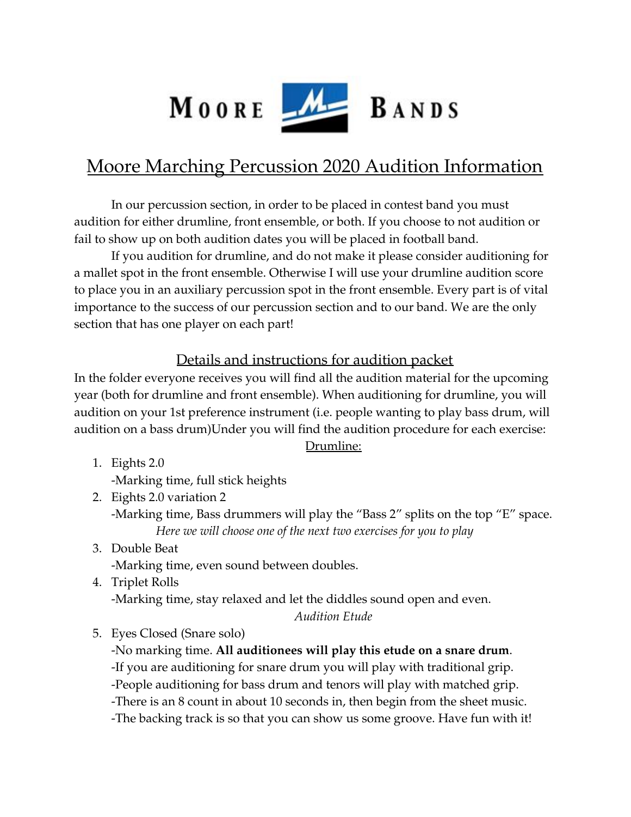

# Moore Marching Percussion 2020 Audition Information

In our percussion section, in order to be placed in contest band you must audition for either drumline, front ensemble, or both. If you choose to not audition or fail to show up on both audition dates you will be placed in football band.

If you audition for drumline, and do not make it please consider auditioning for a mallet spot in the front ensemble. Otherwise I will use your drumline audition score to place you in an auxiliary percussion spot in the front ensemble. Every part is of vital importance to the success of our percussion section and to our band. We are the only section that has one player on each part!

### Details and instructions for audition packet

In the folder everyone receives you will find all the audition material for the upcoming year (both for drumline and front ensemble). When auditioning for drumline, you will audition on your 1st preference instrument (i.e. people wanting to play bass drum, will audition on a bass drum)Under you will find the audition procedure for each exercise:

#### Drumline:

- 1. Eights 2.0 -Marking time, full stick heights
- 2. Eights 2.0 variation 2 -Marking time, Bass drummers will play the "Bass 2" splits on the top "E" space. *Here we will choose one of the next two exercises for you to play*
- 3. Double Beat -Marking time, even sound between doubles.
- 4. Triplet Rolls -Marking time, stay relaxed and let the diddles sound open and even.
	- *Audition Etude*
- 5. Eyes Closed (Snare solo)

-No marking time. **All auditionees will play this etude on a snare drum**. -If you are auditioning for snare drum you will play with traditional grip. -People auditioning for bass drum and tenors will play with matched grip. -There is an 8 count in about 10 seconds in, then begin from the sheet music. -The backing track is so that you can show us some groove. Have fun with it!